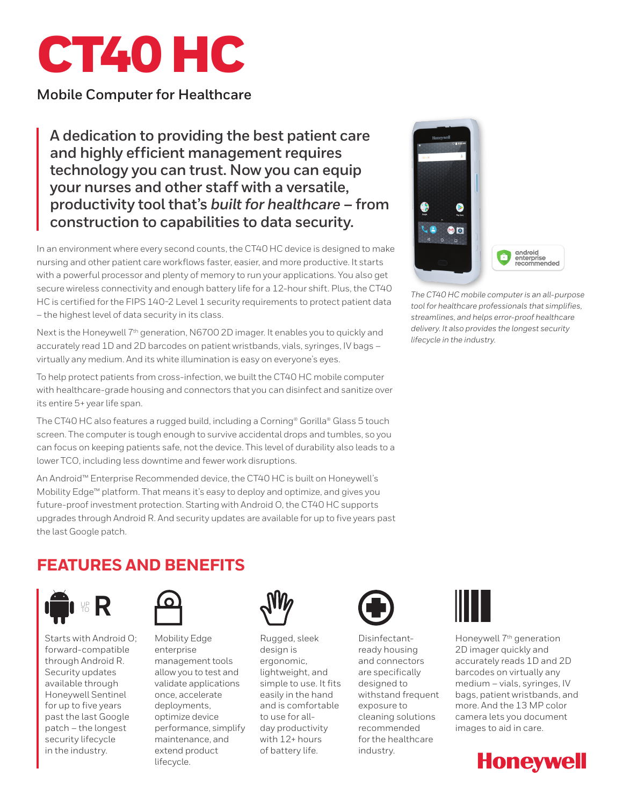

### **Mobile Computer for Healthcare**

**A dedication to providing the best patient care and highly efficient management requires technology you can trust. Now you can equip your nurses and other staff with a versatile, productivity tool that's** *built for healthcare* **– from construction to capabilities to data security.**

In an environment where every second counts, the CT40 HC device is designed to make nursing and other patient care workflows faster, easier, and more productive. It starts with a powerful processor and plenty of memory to run your applications. You also get secure wireless connectivity and enough battery life for a 12-hour shift. Plus, the CT40 HC is certified for the FIPS 140-2 Level 1 security requirements to protect patient data – the highest level of data security in its class.

Next is the Honeywell  $7<sup>th</sup>$  generation, N6700 2D imager. It enables you to quickly and accurately read 1D and 2D barcodes on patient wristbands, vials, syringes, IV bags – virtually any medium. And its white illumination is easy on everyone's eyes.

To help protect patients from cross-infection, we built the CT40 HC mobile computer with healthcare-grade housing and connectors that you can disinfect and sanitize over its entire 5+ year life span.

The CT40 HC also features a rugged build, including a Corning® Gorilla® Glass 5 touch screen. The computer is tough enough to survive accidental drops and tumbles, so you can focus on keeping patients safe, not the device. This level of durability also leads to a lower TCO, including less downtime and fewer work disruptions.

An Android™ Enterprise Recommended device, the CT40 HC is built on Honeywell's Mobility Edge™ platform. That means it's easy to deploy and optimize, and gives you future-proof investment protection. Starting with Android O, the CT40 HC supports upgrades through Android R. And security updates are available for up to five years past the last Google patch.



*The CT40 HC mobile computer is an all-purpose tool for healthcare professionals that simplifies, streamlines, and helps error-proof healthcare delivery. It also provides the longest security lifecycle in the industry.*

# **FEATURES AND BENEFITS**



Starts with Android O; forward-compatible through Android R. Security updates available through Honeywell Sentinel for up to five years past the last Google patch – the longest security lifecycle in the industry.



Mobility Edge enterprise management tools allow you to test and validate applications once, accelerate deployments, optimize device performance, simplify maintenance, and extend product lifecycle.



Rugged, sleek design is ergonomic, lightweight, and simple to use. It fits easily in the hand and is comfortable to use for allday productivity with 12+ hours of battery life.



Disinfectantready housing and connectors are specifically designed to withstand frequent exposure to cleaning solutions recommended for the healthcare industry.



Honeywell 7<sup>th</sup> generation 2D imager quickly and accurately reads 1D and 2D barcodes on virtually any medium – vials, syringes, IV bags, patient wristbands, and more. And the 13 MP color camera lets you document images to aid in care.